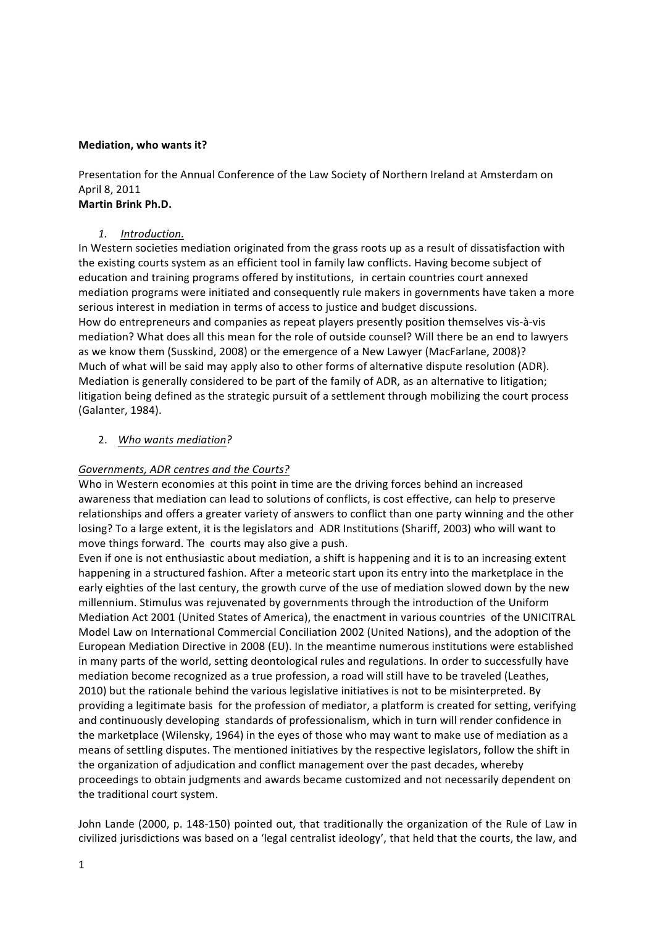#### **Mediation, who wants it?**

Presentation for the Annual Conference of the Law Society of Northern Ireland at Amsterdam on April 8, 2011

### **Martin!Brink!Ph.D.**

# *1. Introduction.*

In Western societies mediation originated from the grass roots up as a result of dissatisfaction with the existing courts system as an efficient tool in family law conflicts. Having become subject of education and training programs offered by institutions, in certain countries court annexed mediation programs were initiated and consequently rule makers in governments have taken a more serious interest in mediation in terms of access to justice and budget discussions. How do entrepreneurs and companies as repeat players presently position themselves vis-à-vis mediation? What does all this mean for the role of outside counsel? Will there be an end to lawyers as we know them (Susskind, 2008) or the emergence of a New Lawyer (MacFarlane, 2008)? Much of what will be said may apply also to other forms of alternative dispute resolution (ADR). Mediation is generally considered to be part of the family of ADR, as an alternative to litigation; litigation being defined as the strategic pursuit of a settlement through mobilizing the court process (Galanter, 1984).

# 2. *Who,wants,mediation?*

# *Governments, ADR,centres and,the,Courts?*

Who in Western economies at this point in time are the driving forces behind an increased awareness that mediation can lead to solutions of conflicts, is cost effective, can help to preserve relationships and offers a greater variety of answers to conflict than one party winning and the other losing? To a large extent, it is the legislators and ADR Institutions (Shariff, 2003) who will want to move things forward. The courts may also give a push.

Even if one is not enthusiastic about mediation, a shift is happening and it is to an increasing extent happening in a structured fashion. After a meteoric start upon its entry into the marketplace in the early eighties of the last century, the growth curve of the use of mediation slowed down by the new millennium. Stimulus was rejuvenated by governments through the introduction of the Uniform Mediation Act 2001 (United States of America), the enactment in various countries of the UNICITRAL Model Law on International Commercial Conciliation 2002 (United Nations), and the adoption of the European Mediation Directive in 2008 (EU). In the meantime numerous institutions were established in many parts of the world, setting deontological rules and regulations. In order to successfully have mediation become recognized as a true profession, a road will still have to be traveled (Leathes, 2010) but the rationale behind the various legislative initiatives is not to be misinterpreted. By providing a legitimate basis for the profession of mediator, a platform is created for setting, verifying and continuously developing standards of professionalism, which in turn will render confidence in the marketplace (Wilensky, 1964) in the eyes of those who may want to make use of mediation as a means of settling disputes. The mentioned initiatives by the respective legislators, follow the shift in the organization of adjudication and conflict management over the past decades, whereby proceedings to obtain judgments and awards became customized and not necessarily dependent on the traditional court system.

John Lande (2000, p. 148-150) pointed out, that traditionally the organization of the Rule of Law in civilized jurisdictions was based on a 'legal centralist ideology', that held that the courts, the law, and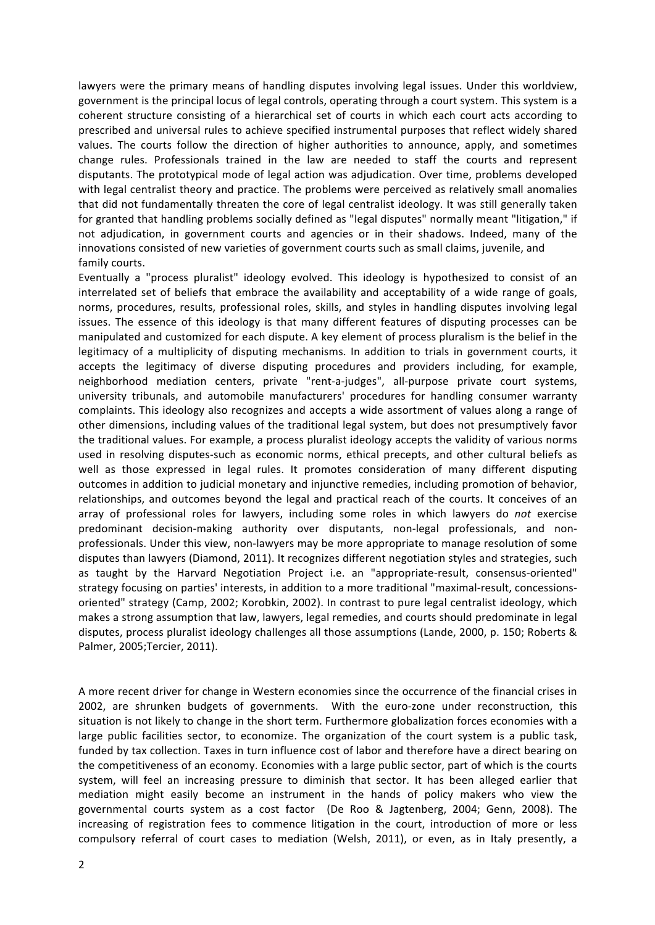lawyers were the primary means of handling disputes involving legal issues. Under this worldview, government is the principal locus of legal controls, operating through a court system. This system is a coherent structure consisting of a hierarchical set of courts in which each court acts according to prescribed and universal rules to achieve specified instrumental purposes that reflect widely shared values. The courts follow the direction of higher authorities to announce, apply, and sometimes change rules. Professionals trained in the law are needed to staff the courts and represent disputants. The prototypical mode of legal action was adjudication. Over time, problems developed with legal centralist theory and practice. The problems were perceived as relatively small anomalies that did not fundamentally threaten the core of legal centralist ideology. It was still generally taken for granted that handling problems socially defined as "legal disputes" normally meant "litigation," if not adjudication, in government courts and agencies or in their shadows. Indeed, many of the innovations consisted of new varieties of government courts such as small claims, juvenile, and family courts.

Eventually a "process pluralist" ideology evolved. This ideology is hypothesized to consist of an interrelated set of beliefs that embrace the availability and acceptability of a wide range of goals, norms, procedures, results, professional roles, skills, and styles in handling disputes involving legal issues. The essence of this ideology is that many different features of disputing processes can be manipulated and customized for each dispute. A key element of process pluralism is the belief in the legitimacy of a multiplicity of disputing mechanisms. In addition to trials in government courts, it accepts the legitimacy of diverse disputing procedures and providers including, for example, neighborhood mediation centers, private "rent-a-judges", all-purpose private court systems, university tribunals, and automobile manufacturers' procedures for handling consumer warranty complaints. This ideology also recognizes and accepts a wide assortment of values along a range of other dimensions, including values of the traditional legal system, but does not presumptively favor the traditional values. For example, a process pluralist ideology accepts the validity of various norms used in resolving disputes-such as economic norms, ethical precepts, and other cultural beliefs as well as those expressed in legal rules. It promotes consideration of many different disputing outcomes in addition to judicial monetary and injunctive remedies, including promotion of behavior, relationships, and outcomes beyond the legal and practical reach of the courts. It conceives of an array of professional roles for lawyers, including some roles in which lawyers do *not* exercise predominant decision-making authority over disputants, non-legal professionals, and nonprofessionals. Under this view, non-lawyers may be more appropriate to manage resolution of some disputes than lawyers (Diamond, 2011). It recognizes different negotiation styles and strategies, such as taught by the Harvard Negotiation Project i.e. an "appropriate-result, consensus-oriented" strategy focusing on parties' interests, in addition to a more traditional "maximal-result, concessionsoriented" strategy (Camp, 2002; Korobkin, 2002). In contrast to pure legal centralist ideology, which makes a strong assumption that law, lawyers, legal remedies, and courts should predominate in legal disputes, process pluralist ideology challenges all those assumptions (Lande, 2000, p. 150; Roberts & Palmer, 2005;Tercier, 2011).

A more recent driver for change in Western economies since the occurrence of the financial crises in 2002, are shrunken budgets of governments. With the euro-zone under reconstruction, this situation is not likely to change in the short term. Furthermore globalization forces economies with a large public facilities sector, to economize. The organization of the court system is a public task, funded by tax collection. Taxes in turn influence cost of labor and therefore have a direct bearing on the competitiveness of an economy. Economies with a large public sector, part of which is the courts system, will feel an increasing pressure to diminish that sector. It has been alleged earlier that mediation might easily become an instrument in the hands of policy makers who view the governmental courts system as a cost factor (De Roo & Jagtenberg, 2004; Genn, 2008). The increasing of registration fees to commence litigation in the court, introduction of more or less compulsory referral of court cases to mediation (Welsh, 2011), or even, as in Italy presently, a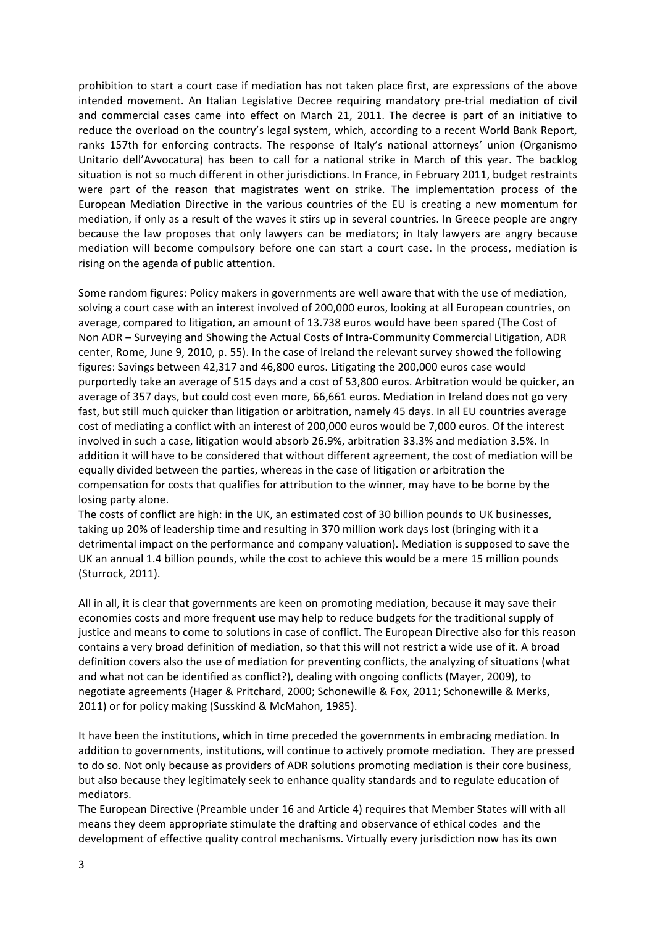prohibition to start a court case if mediation has not taken place first, are expressions of the above intended movement. An Italian Legislative Decree requiring mandatory pre-trial mediation of civil and commercial cases came into effect on March 21, 2011. The decree is part of an initiative to reduce the overload on the country's legal system, which, according to a recent World Bank Report, ranks 157th for enforcing contracts. The response of Italy's national attorneys' union (Organismo Unitario dell'Avvocatura) has been to call for a national strike in March of this year. The backlog situation is not so much different in other jurisdictions. In France, in February 2011, budget restraints were part of the reason that magistrates went on strike. The implementation process of the European Mediation Directive in the various countries of the EU is creating a new momentum for mediation, if only as a result of the waves it stirs up in several countries. In Greece people are angry because the law proposes that only lawyers can be mediators; in Italy lawyers are angry because mediation will become compulsory before one can start a court case. In the process, mediation is rising on the agenda of public attention.

Some random figures: Policy makers in governments are well aware that with the use of mediation, solving a court case with an interest involved of 200,000 euros, looking at all European countries, on average, compared to litigation, an amount of 13.738 euros would have been spared (The Cost of Non ADR – Surveying and Showing the Actual Costs of Intra-Community Commercial Litigation, ADR center, Rome, June 9, 2010, p. 55). In the case of Ireland the relevant survey showed the following figures: Savings between 42,317 and 46,800 euros. Litigating the 200,000 euros case would purportedly take an average of 515 days and a cost of 53,800 euros. Arbitration would be quicker, an average of 357 days, but could cost even more, 66,661 euros. Mediation in Ireland does not go very fast, but still much quicker than litigation or arbitration, namely 45 days. In all EU countries average cost of mediating a conflict with an interest of 200,000 euros would be 7,000 euros. Of the interest involved in such a case, litigation would absorb 26.9%, arbitration 33.3% and mediation 3.5%. In addition it will have to be considered that without different agreement, the cost of mediation will be equally divided between the parties, whereas in the case of litigation or arbitration the compensation for costs that qualifies for attribution to the winner, may have to be borne by the losing party alone.

The costs of conflict are high: in the UK, an estimated cost of 30 billion pounds to UK businesses, taking up 20% of leadership time and resulting in 370 million work days lost (bringing with it a detrimental impact on the performance and company valuation). Mediation is supposed to save the UK an annual 1.4 billion pounds, while the cost to achieve this would be a mere 15 million pounds (Sturrock, 2011).

All in all, it is clear that governments are keen on promoting mediation, because it may save their economies costs and more frequent use may help to reduce budgets for the traditional supply of justice and means to come to solutions in case of conflict. The European Directive also for this reason contains a very broad definition of mediation, so that this will not restrict a wide use of it. A broad definition covers also the use of mediation for preventing conflicts, the analyzing of situations (what and what not can be identified as conflict?), dealing with ongoing conflicts (Mayer, 2009), to negotiate agreements (Hager & Pritchard, 2000; Schonewille & Fox, 2011; Schonewille & Merks, 2011) or for policy making (Susskind & McMahon, 1985).

It have been the institutions, which in time preceded the governments in embracing mediation. In addition to governments, institutions, will continue to actively promote mediation. They are pressed to do so. Not only because as providers of ADR solutions promoting mediation is their core business, but also because they legitimately seek to enhance quality standards and to regulate education of mediators.

The European Directive (Preamble under 16 and Article 4) requires that Member States will with all means they deem appropriate stimulate the drafting and observance of ethical codes and the development of effective quality control mechanisms. Virtually every jurisdiction now has its own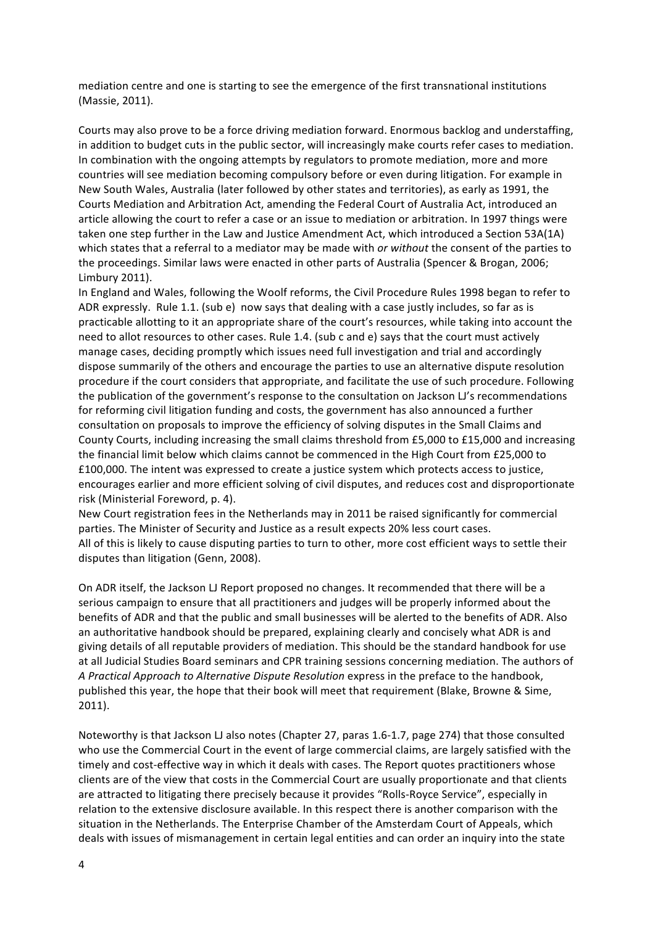mediation centre and one is starting to see the emergence of the first transnational institutions (Massie, 2011).

Courts may also prove to be a force driving mediation forward. Enormous backlog and understaffing, in addition to budget cuts in the public sector, will increasingly make courts refer cases to mediation. In combination with the ongoing attempts by regulators to promote mediation, more and more countries will see mediation becoming compulsory before or even during litigation. For example in New South Wales, Australia (later followed by other states and territories), as early as 1991, the Courts Mediation and Arbitration Act, amending the Federal Court of Australia Act, introduced an article allowing the court to refer a case or an issue to mediation or arbitration. In 1997 things were taken one step further in the Law and Justice Amendment Act, which introduced a Section 53A(1A) which states that a referral to a mediator may be made with *or without* the consent of the parties to the proceedings. Similar laws were enacted in other parts of Australia (Spencer & Brogan, 2006; Limbury!2011).

In England and Wales, following the Woolf reforms, the Civil Procedure Rules 1998 began to refer to ADR expressly. Rule 1.1. (sub e) now says that dealing with a case justly includes, so far as is practicable allotting to it an appropriate share of the court's resources, while taking into account the need to allot resources to other cases. Rule 1.4. (sub c and e) says that the court must actively manage cases, deciding promptly which issues need full investigation and trial and accordingly dispose summarily of the others and encourage the parties to use an alternative dispute resolution procedure if the court considers that appropriate, and facilitate the use of such procedure. Following the publication of the government's response to the consultation on Jackson LJ's recommendations for reforming civil litigation funding and costs, the government has also announced a further consultation on proposals to improve the efficiency of solving disputes in the Small Claims and County Courts, including increasing the small claims threshold from  $£5,000$  to  $£15,000$  and increasing the financial limit below which claims cannot be commenced in the High Court from  $£25,000$  to £100,000. The intent was expressed to create a justice system which protects access to justice, encourages earlier and more efficient solving of civil disputes, and reduces cost and disproportionate risk (Ministerial Foreword, p. 4).

New Court registration fees in the Netherlands may in 2011 be raised significantly for commercial parties. The Minister of Security and Justice as a result expects 20% less court cases. All of this is likely to cause disputing parties to turn to other, more cost efficient ways to settle their disputes than litigation (Genn, 2008).

On ADR itself, the Jackson LJ Report proposed no changes. It recommended that there will be a serious campaign to ensure that all practitioners and judges will be properly informed about the benefits of ADR and that the public and small businesses will be alerted to the benefits of ADR. Also an authoritative handbook should be prepared, explaining clearly and concisely what ADR is and giving details of all reputable providers of mediation. This should be the standard handbook for use at all Judicial Studies Board seminars and CPR training sessions concerning mediation. The authors of *A, Practical, Approach,to,Alternative,Dispute,Resolution,express in the preface to the handbook,* published this year, the hope that their book will meet that requirement (Blake, Browne & Sime, 2011).

Noteworthy is that Jackson LJ also notes (Chapter 27, paras 1.6-1.7, page 274) that those consulted who use the Commercial Court in the event of large commercial claims, are largely satisfied with the timely and cost-effective way in which it deals with cases. The Report quotes practitioners whose clients are of the view that costs in the Commercial Court are usually proportionate and that clients are attracted to litigating there precisely because it provides "Rolls-Royce Service", especially in relation to the extensive disclosure available. In this respect there is another comparison with the situation in the Netherlands. The Enterprise Chamber of the Amsterdam Court of Appeals, which deals with issues of mismanagement in certain legal entities and can order an inquiry into the state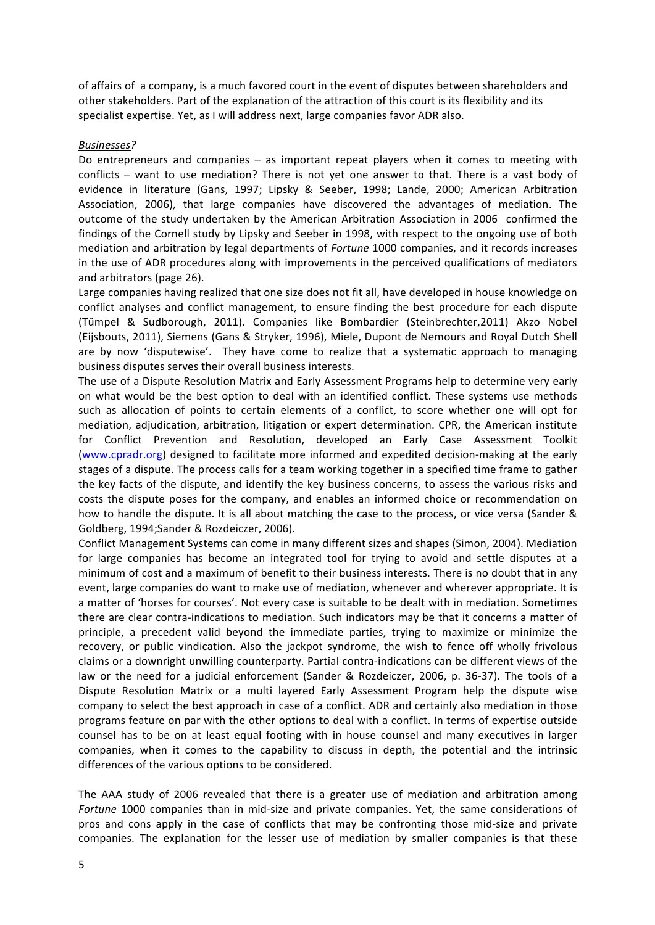of affairs of a company, is a much favored court in the event of disputes between shareholders and other stakeholders. Part of the explanation of the attraction of this court is its flexibility and its specialist expertise. Yet, as I will address next, large companies favor ADR also.

#### *Businesses?*

Do entrepreneurs and companies – as important repeat players when it comes to meeting with conflicts – want to use mediation? There is not yet one answer to that. There is a vast body of evidence in literature (Gans, 1997; Lipsky & Seeber, 1998; Lande, 2000; American Arbitration Association, 2006), that large companies have discovered the advantages of mediation. The outcome of the study undertaken by the American Arbitration Association in 2006 confirmed the findings of the Cornell study by Lipsky and Seeber in 1998, with respect to the ongoing use of both mediation and arbitration by legal departments of *Fortune*, 1000 companies, and it records increases in the use of ADR procedures along with improvements in the perceived qualifications of mediators and arbitrators (page 26).

Large companies having realized that one size does not fit all, have developed in house knowledge on conflict analyses and conflict management, to ensure finding the best procedure for each dispute (Tümpel & Sudborough, 2011). Companies like Bombardier (Steinbrechter,2011) Akzo Nobel (Eijsbouts, 2011), Siemens (Gans & Stryker, 1996), Miele, Dupont de Nemours and Royal Dutch Shell are by now 'disputewise'. They have come to realize that a systematic approach to managing business disputes serves their overall business interests.

The use of a Dispute Resolution Matrix and Early Assessment Programs help to determine very early on what would be the best option to deal with an identified conflict. These systems use methods such as allocation of points to certain elements of a conflict, to score whether one will opt for mediation, adjudication, arbitration, litigation or expert determination. CPR, the American institute for Conflict Prevention and Resolution, developed an Early Case Assessment Toolkit (www.cpradr.org) designed to facilitate more informed and expedited decision-making at the early stages of a dispute. The process calls for a team working together in a specified time frame to gather the key facts of the dispute, and identify the key business concerns, to assess the various risks and costs the dispute poses for the company, and enables an informed choice or recommendation on how to handle the dispute. It is all about matching the case to the process, or vice versa (Sander & Goldberg, 1994;Sander & Rozdeiczer, 2006).

Conflict Management Systems can come in many different sizes and shapes (Simon, 2004). Mediation for large companies has become an integrated tool for trying to avoid and settle disputes at a minimum of cost and a maximum of benefit to their business interests. There is no doubt that in any event, large companies do want to make use of mediation, whenever and wherever appropriate. It is a matter of 'horses for courses'. Not every case is suitable to be dealt with in mediation. Sometimes there are clear contra-indications to mediation. Such indicators may be that it concerns a matter of principle, a precedent valid beyond the immediate parties, trying to maximize or minimize the recovery, or public vindication. Also the jackpot syndrome, the wish to fence off wholly frivolous claims or a downright unwilling counterparty. Partial contra-indications can be different views of the law or the need for a judicial enforcement (Sander & Rozdeiczer, 2006, p. 36-37). The tools of a Dispute Resolution Matrix or a multi layered Early Assessment Program help the dispute wise company to select the best approach in case of a conflict. ADR and certainly also mediation in those programs feature on par with the other options to deal with a conflict. In terms of expertise outside counsel has to be on at least equal footing with in house counsel and many executives in larger companies, when it comes to the capability to discuss in depth, the potential and the intrinsic differences of the various options to be considered.

The AAA study of 2006 revealed that there is a greater use of mediation and arbitration among *Fortune*, 1000 companies than in mid-size and private companies. Yet, the same considerations of pros and cons apply in the case of conflicts that may be confronting those mid-size and private companies. The explanation for the lesser use of mediation by smaller companies is that these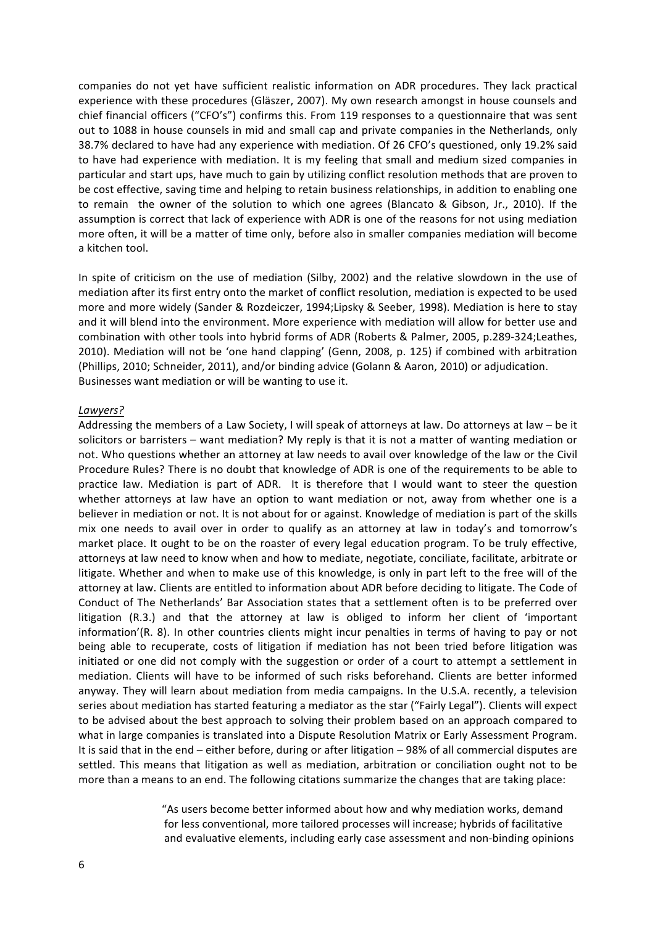companies do not yet have sufficient realistic information on ADR procedures. They lack practical experience with these procedures (Gläszer, 2007). My own research amongst in house counsels and chief financial officers ("CFO's") confirms this. From 119 responses to a questionnaire that was sent out to 1088 in house counsels in mid and small cap and private companies in the Netherlands, only 38.7% declared to have had any experience with mediation. Of 26 CFO's questioned, only 19.2% said to have had experience with mediation. It is my feeling that small and medium sized companies in particular and start ups, have much to gain by utilizing conflict resolution methods that are proven to be cost effective, saving time and helping to retain business relationships, in addition to enabling one to remain the owner of the solution to which one agrees (Blancato & Gibson, Jr., 2010). If the assumption is correct that lack of experience with ADR is one of the reasons for not using mediation more often, it will be a matter of time only, before also in smaller companies mediation will become a kitchen tool.

In spite of criticism on the use of mediation (Silby, 2002) and the relative slowdown in the use of mediation after its first entry onto the market of conflict resolution, mediation is expected to be used more and more widely (Sander & Rozdeiczer, 1994;Lipsky & Seeber, 1998). Mediation is here to stay and it will blend into the environment. More experience with mediation will allow for better use and combination with other tools into hybrid forms of ADR (Roberts & Palmer, 2005, p.289-324;Leathes, 2010). Mediation will not be 'one hand clapping' (Genn, 2008, p. 125) if combined with arbitration (Phillips, 2010; Schneider, 2011), and/or binding advice (Golann & Aaron, 2010) or adjudication. Businesses want mediation or will be wanting to use it.

#### *Lawyers?*

Addressing the members of a Law Society, I will speak of attorneys at law. Do attorneys at law – be it solicitors or barristers – want mediation? My reply is that it is not a matter of wanting mediation or not. Who questions whether an attorney at law needs to avail over knowledge of the law or the Civil Procedure Rules? There is no doubt that knowledge of ADR is one of the requirements to be able to practice law. Mediation is part of ADR. It is therefore that I would want to steer the question whether attorneys at law have an option to want mediation or not, away from whether one is a believer in mediation or not. It is not about for or against. Knowledge of mediation is part of the skills mix one needs to avail over in order to qualify as an attorney at law in today's and tomorrow's market place. It ought to be on the roaster of every legal education program. To be truly effective, attorneys at law need to know when and how to mediate, negotiate, conciliate, facilitate, arbitrate or litigate. Whether and when to make use of this knowledge, is only in part left to the free will of the attorney at law. Clients are entitled to information about ADR before deciding to litigate. The Code of Conduct of The Netherlands' Bar Association states that a settlement often is to be preferred over litigation (R.3.) and that the attorney at law is obliged to inform her client of 'important information'(R. 8). In other countries clients might incur penalties in terms of having to pay or not being able to recuperate, costs of litigation if mediation has not been tried before litigation was initiated or one did not comply with the suggestion or order of a court to attempt a settlement in mediation. Clients will have to be informed of such risks beforehand. Clients are better informed anyway. They will learn about mediation from media campaigns. In the U.S.A. recently, a television series about mediation has started featuring a mediator as the star ("Fairly Legal"). Clients will expect to be advised about the best approach to solving their problem based on an approach compared to what in large companies is translated into a Dispute Resolution Matrix or Early Assessment Program. It is said that in the end – either before, during or after litigation – 98% of all commercial disputes are settled. This means that litigation as well as mediation, arbitration or conciliation ought not to be more than a means to an end. The following citations summarize the changes that are taking place:

> "As users become better informed about how and why mediation works, demand for less conventional, more tailored processes will increase; hybrids of facilitative and evaluative elements, including early case assessment and non-binding opinions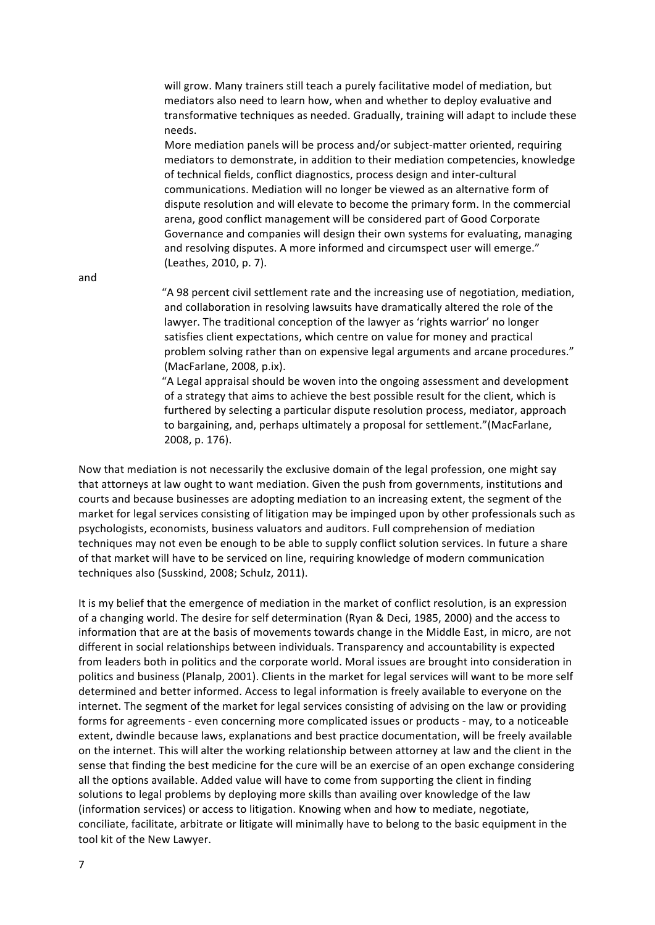will grow. Many trainers still teach a purely facilitative model of mediation, but mediators also need to learn how, when and whether to deploy evaluative and transformative techniques as needed. Gradually, training will adapt to include these needs.

More mediation panels will be process and/or subject-matter oriented, requiring mediators to demonstrate, in addition to their mediation competencies, knowledge of technical fields, conflict diagnostics, process design and inter-cultural communications. Mediation will no longer be viewed as an alternative form of dispute resolution and will elevate to become the primary form. In the commercial arena, good conflict management will be considered part of Good Corporate Governance and companies will design their own systems for evaluating, managing and resolving disputes. A more informed and circumspect user will emerge." (Leathes, 2010, p. 7).

and

"A 98 percent civil settlement rate and the increasing use of negotiation, mediation, and collaboration in resolving lawsuits have dramatically altered the role of the lawyer. The traditional conception of the lawyer as 'rights warrior' no longer satisfies client expectations, which centre on value for money and practical problem solving rather than on expensive legal arguments and arcane procedures." (MacFarlane, 2008, p.ix).

"A Legal appraisal should be woven into the ongoing assessment and development of a strategy that aims to achieve the best possible result for the client, which is furthered by selecting a particular dispute resolution process, mediator, approach to bargaining, and, perhaps ultimately a proposal for settlement."(MacFarlane, 2008, p. 176).

Now that mediation is not necessarily the exclusive domain of the legal profession, one might say that attorneys at law ought to want mediation. Given the push from governments, institutions and courts and because businesses are adopting mediation to an increasing extent, the segment of the market for legal services consisting of litigation may be impinged upon by other professionals such as psychologists, economists, business valuators and auditors. Full comprehension of mediation techniques may not even be enough to be able to supply conflict solution services. In future a share of that market will have to be serviced on line, requiring knowledge of modern communication techniques also (Susskind, 2008; Schulz, 2011).

It is my belief that the emergence of mediation in the market of conflict resolution, is an expression of a changing world. The desire for self determination (Ryan & Deci, 1985, 2000) and the access to information that are at the basis of movements towards change in the Middle East, in micro, are not different in social relationships between individuals. Transparency and accountability is expected from leaders both in politics and the corporate world. Moral issues are brought into consideration in politics and business (Planalp, 2001). Clients in the market for legal services will want to be more self determined and better informed. Access to legal information is freely available to everyone on the internet. The segment of the market for legal services consisting of advising on the law or providing forms for agreements - even concerning more complicated issues or products - may, to a noticeable extent, dwindle because laws, explanations and best practice documentation, will be freely available on the internet. This will alter the working relationship between attorney at law and the client in the sense that finding the best medicine for the cure will be an exercise of an open exchange considering all the options available. Added value will have to come from supporting the client in finding solutions to legal problems by deploying more skills than availing over knowledge of the law (information services) or access to litigation. Knowing when and how to mediate, negotiate, conciliate, facilitate, arbitrate or litigate will minimally have to belong to the basic equipment in the tool kit of the New Lawyer.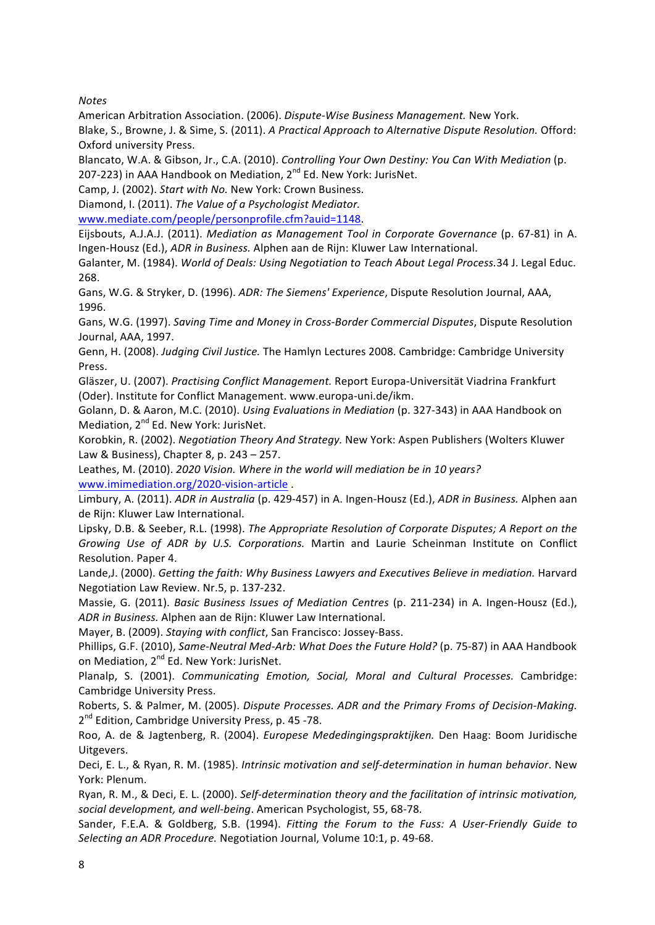*Notes*

American Arbitration Association. (2006). *Dispute-Wise Business Management*. New York.

Blake, S., Browne, J. & Sime, S. (2011). *A Practical Approach to Alternative Dispute Resolution.* Offord: Oxford university Press.

Blancato, W.A. & Gibson, Jr., C.A. (2010). *Controlling Your Own Destiny: You Can With Mediation* (p. 207-223) in AAA Handbook on Mediation, 2<sup>nd</sup> Ed. New York: JurisNet.

Camp, J. (2002). *Start with No. New York: Crown Business.* 

Diamond, I. (2011). *The Value of a Psychologist Mediator.* 

www.mediate.com/people/personprofile.cfm?auid=1148.!

Eijsbouts, A.J.A.J. (2011). *Mediation as Management Tool in Corporate Governance* (p. 67-81) in A. Ingen-Housz (Ed.), *ADR in Business.* Alphen aan de Rijn: Kluwer Law International.

Galanter, M. (1984). *World of Deals: Using Negotiation to Teach About Legal Process.*34 J. Legal Educ. 268.

Gans, W.G. & Stryker, D. (1996). *ADR: The Siemens' Experience*, Dispute Resolution Journal, AAA, 1996.

Gans, W.G. (1997). Saving Time and Money in Cross-Border Commercial Disputes, Dispute Resolution Journal, AAA, 1997.

Genn, H. (2008). *Judging Civil Justice*. The Hamlyn Lectures 2008. Cambridge: Cambridge University Press.

Gläszer, U. (2007). *Practising Conflict Management.* Report Europa-Universität Viadrina Frankfurt (Oder). Institute for Conflict Management. www.europa-uni.de/ikm.

Golann, D. & Aaron, M.C. (2010). *Using Evaluations in Mediation* (p. 327-343) in AAA Handbook on Mediation, 2<sup>nd</sup> Ed. New York: JurisNet.

Korobkin, R. (2002). *Negotiation Theory And Strategy.* New York: Aspen Publishers (Wolters Kluwer Law & Business), Chapter 8, p.  $243 - 257$ .

Leathes, M. (2010). *2020 Vision. Where in the world will mediation be in 10 years?* www.imimediation.org/2020-vision-article .

Limbury, A. (2011). *ADR in Australia* (p. 429-457) in A. Ingen-Housz (Ed.), *ADR in Business.* Alphen aan de Rijn: Kluwer Law International.

Lipsky, D.B. & Seeber, R.L. (1998). *The Appropriate Resolution of Corporate Disputes; A Report on the Growing, Use, of ADR, by, U.S., Corporations.*, Martin and Laurie Scheinman Institute on Conflict Resolution. Paper 4.

Lande,J. (2000). *Getting the faith: Why Business Lawyers and Executives Believe in mediation.* Harvard Negotiation Law Review. Nr.5, p. 137-232.

Massie, G. (2011). *Basic Business Issues of Mediation Centres* (p. 211-234) in A. Ingen-Housz (Ed.), ADR in Business. Alphen aan de Rijn: Kluwer Law International.

Mayer, B. (2009). *Staying with conflict*, San Francisco: Jossey-Bass.

Phillips, G.F. (2010), *Same-Neutral Med-Arb: What Does the Future Hold?* (p. 75-87) in AAA Handbook on Mediation, 2<sup>nd</sup> Ed. New York: JurisNet.

Planalp, S. (2001). *Communicating Emotion, Social, Moral and Cultural Processes.* Cambridge: Cambridge University Press.

Roberts, S. & Palmer, M. (2005). *Dispute Processes. ADR and the Primary Froms of Decision-Making.* 2<sup>nd</sup> Edition, Cambridge University Press, p. 45 -78.

Roo, A. de & Jagtenberg, R. (2004). *Europese Mededingingspraktijken.* Den Haag: Boom Juridische Uitgevers.

Deci, E. L., & Ryan, R. M. (1985). *Intrinsic motivation and self-determination in human behavior*. New York: Plenum.

Ryan, R. M., & Deci, E. L. (2000). Self-determination theory and the facilitation of intrinsic motivation, social development, and well-being. American Psychologist, 55, 68-78.

Sander, F.E.A. & Goldberg, S.B. (1994). *Fitting the Forum to the Fuss: A User-Friendly Guide to Selecting an ADR Procedure.* Negotiation Journal, Volume 10:1, p. 49-68.